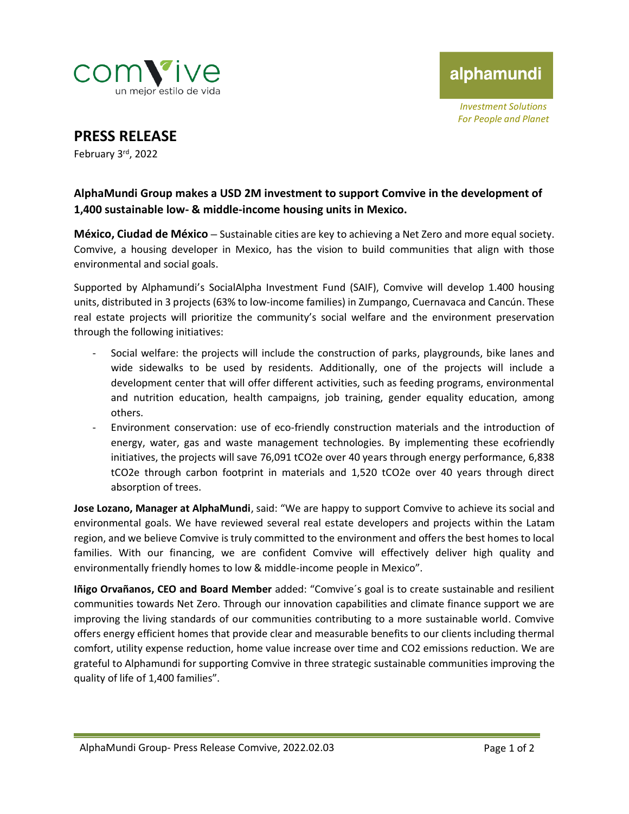

alphamundi

*Investment Solutions For People and Planet*

**PRESS RELEASE**

February 3rd , 2022

## **AlphaMundi Group makes a USD 2M investment to support Comvive in the development of 1,400 sustainable low- & middle-income housing units in Mexico.**

**México, Ciudad de México –** Sustainable cities are key to achieving a Net Zero and more equal society. Comvive, a housing developer in Mexico, has the vision to build communities that align with those environmental and social goals.

Supported by Alphamundi's SocialAlpha Investment Fund (SAIF), Comvive will develop 1.400 housing units, distributed in 3 projects (63% to low-income families) in Zumpango, Cuernavaca and Cancún. These real estate projects will prioritize the community's social welfare and the environment preservation through the following initiatives:

- Social welfare: the projects will include the construction of parks, playgrounds, bike lanes and wide sidewalks to be used by residents. Additionally, one of the projects will include a development center that will offer different activities, such as feeding programs, environmental and nutrition education, health campaigns, job training, gender equality education, among others.
- Environment conservation: use of eco-friendly construction materials and the introduction of energy, water, gas and waste management technologies. By implementing these ecofriendly initiatives, the projects will save 76,091 tCO2e over 40 years through energy performance, 6,838 tCO2e through carbon footprint in materials and 1,520 tCO2e over 40 years through direct absorption of trees.

**Jose Lozano, Manager at AlphaMundi**, said: "We are happy to support Comvive to achieve its social and environmental goals. We have reviewed several real estate developers and projects within the Latam region, and we believe Comvive is truly committed to the environment and offers the best homes to local families. With our financing, we are confident Comvive will effectively deliver high quality and environmentally friendly homes to low & middle-income people in Mexico".

**Iñigo Orvañanos, CEO and Board Member** added: "Comvive´s goal is to create sustainable and resilient communities towards Net Zero. Through our innovation capabilities and climate finance support we are improving the living standards of our communities contributing to a more sustainable world. Comvive offers energy efficient homes that provide clear and measurable benefits to our clients including thermal comfort, utility expense reduction, home value increase over time and CO2 emissions reduction. We are grateful to Alphamundi for supporting Comvive in three strategic sustainable communities improving the quality of life of 1,400 families".